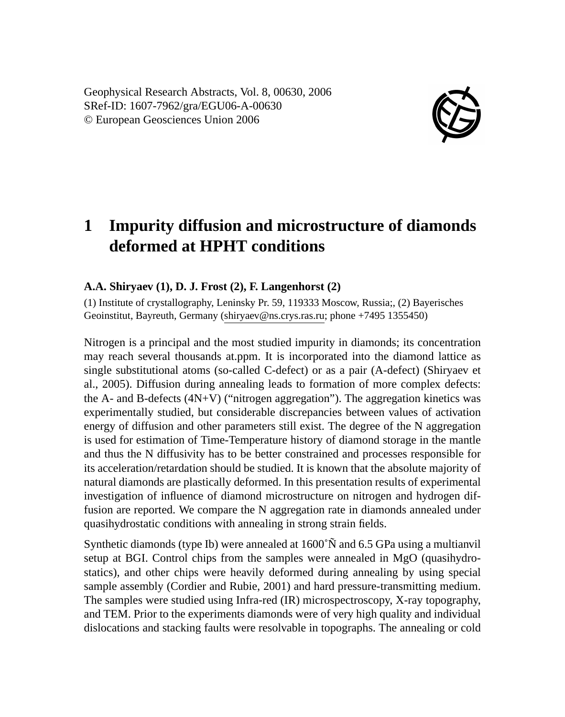Geophysical Research Abstracts, Vol. 8, 00630, 2006 SRef-ID: 1607-7962/gra/EGU06-A-00630 © European Geosciences Union 2006



## **1 Impurity diffusion and microstructure of diamonds deformed at HPHT conditions**

## **A.A. Shiryaev (1), D. J. Frost (2), F. Langenhorst (2)**

(1) Institute of crystallography, Leninsky Pr. 59, 119333 Moscow, Russia;, (2) Bayerisches Geoinstitut, Bayreuth, Germany (shiryaev@ns.crys.ras.ru; phone +7495 1355450)

Nitrogen is a principal and the most studied impurity in diamonds; its concentration may reach several thousands at.ppm. It is incorporated into the diamond lattice as single substitutional atoms (so-called C-defect) or as a pair (A-defect) (Shiryaev et al., 2005). Diffusion during annealing leads to formation of more complex defects: the A- and B-defects  $(4N+V)$  ("nitrogen aggregation"). The aggregation kinetics was experimentally studied, but considerable discrepancies between values of activation energy of diffusion and other parameters still exist. The degree of the N aggregation is used for estimation of Time-Temperature history of diamond storage in the mantle and thus the N diffusivity has to be better constrained and processes responsible for its acceleration/retardation should be studied. It is known that the absolute majority of natural diamonds are plastically deformed. In this presentation results of experimental investigation of influence of diamond microstructure on nitrogen and hydrogen diffusion are reported. We compare the N aggregation rate in diamonds annealed under quasihydrostatic conditions with annealing in strong strain fields.

Synthetic diamonds (type Ib) were annealed at 1600˚Ñ and 6.5 GPa using a multianvil setup at BGI. Control chips from the samples were annealed in MgO (quasihydrostatics), and other chips were heavily deformed during annealing by using special sample assembly (Cordier and Rubie, 2001) and hard pressure-transmitting medium. The samples were studied using Infra-red (IR) microspectroscopy, X-ray topography, and TEM. Prior to the experiments diamonds were of very high quality and individual dislocations and stacking faults were resolvable in topographs. The annealing or cold